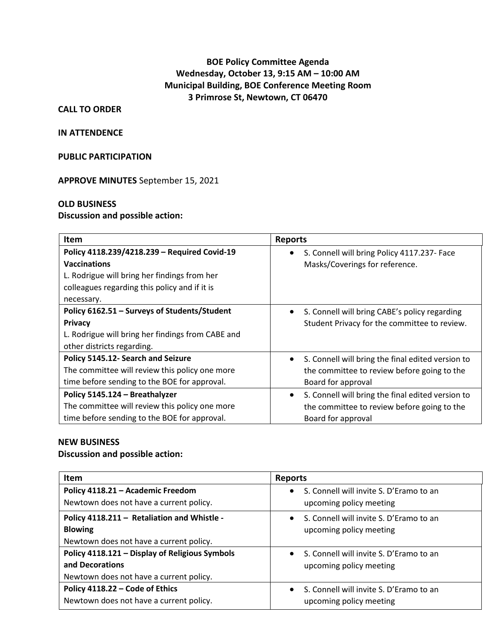# **BOE Policy Committee Agenda Wednesday, October 13, 9:15 AM – 10:00 AM Municipal Building, BOE Conference Meeting Room 3 Primrose St, Newtown, CT 06470**

### **CALL TO ORDER**

#### **IN ATTENDENCE**

### **PUBLIC PARTICIPATION**

**APPROVE MINUTES** September 15, 2021

#### **OLD BUSINESS**

## **Discussion and possible action:**

| <b>Item</b>                                                                                                                                                                        | <b>Reports</b>                                                                                                                      |
|------------------------------------------------------------------------------------------------------------------------------------------------------------------------------------|-------------------------------------------------------------------------------------------------------------------------------------|
| Policy 4118.239/4218.239 - Required Covid-19<br><b>Vaccinations</b><br>L. Rodrigue will bring her findings from her<br>colleagues regarding this policy and if it is<br>necessary. | S. Connell will bring Policy 4117.237- Face<br>Masks/Coverings for reference.                                                       |
| Policy 6162.51 - Surveys of Students/Student<br><b>Privacy</b><br>L. Rodrigue will bring her findings from CABE and<br>other districts regarding.                                  | S. Connell will bring CABE's policy regarding<br>$\bullet$<br>Student Privacy for the committee to review.                          |
| Policy 5145.12- Search and Seizure<br>The committee will review this policy one more<br>time before sending to the BOE for approval.                                               | S. Connell will bring the final edited version to<br>$\bullet$<br>the committee to review before going to the<br>Board for approval |
| Policy 5145.124 - Breathalyzer<br>The committee will review this policy one more<br>time before sending to the BOE for approval.                                                   | S. Connell will bring the final edited version to<br>$\bullet$<br>the committee to review before going to the<br>Board for approval |

## **NEW BUSINESS**

## **Discussion and possible action:**

| <b>Item</b>                                    | <b>Reports</b>                                       |
|------------------------------------------------|------------------------------------------------------|
| Policy 4118.21 - Academic Freedom              | S. Connell will invite S. D'Eramo to an<br>$\bullet$ |
| Newtown does not have a current policy.        | upcoming policy meeting                              |
| Policy 4118.211 - Retaliation and Whistle -    | S. Connell will invite S. D'Eramo to an<br>$\bullet$ |
| <b>Blowing</b>                                 | upcoming policy meeting                              |
| Newtown does not have a current policy.        |                                                      |
| Policy 4118.121 - Display of Religious Symbols | • S. Connell will invite S. D'Eramo to an            |
| and Decorations                                | upcoming policy meeting                              |
| Newtown does not have a current policy.        |                                                      |
| Policy 4118.22 - Code of Ethics                | S. Connell will invite S. D'Eramo to an<br>$\bullet$ |
| Newtown does not have a current policy.        | upcoming policy meeting                              |